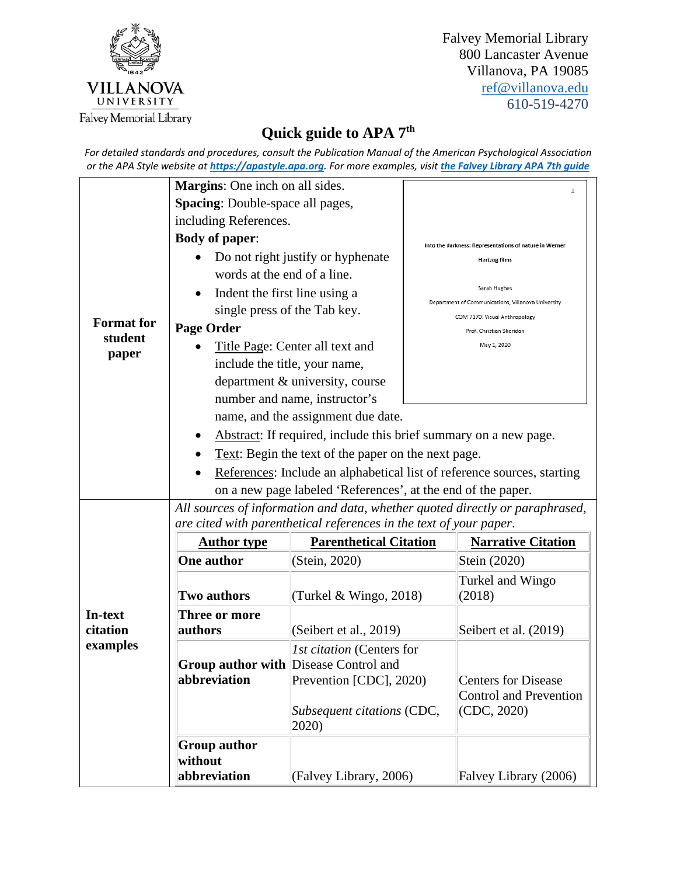

Falvey Memorial Library 800 Lancaster Avenue Villanova, PA 19085 [ref@villanova.edu](mailto:ref@villanova.edu) 610-519-4270

## **Quick guide to APA 7th**

*For detailed standards and procedures, consult the Publication Manual of the American Psychological Association or the APA Style website at [https://apastyle.apa.org](https://apastyle.apa.org/). For more examples, visit [the Falvey Library APA 7th guide](https://library.villanova.edu/research/subject-guides/citing-your-sources/frequently-used-styles/apa)*

|                     | Margins: One inch on all sides.                                                                                                                    |                                                                | $\mathbf{1}$                                                               |  |
|---------------------|----------------------------------------------------------------------------------------------------------------------------------------------------|----------------------------------------------------------------|----------------------------------------------------------------------------|--|
|                     | <b>Spacing:</b> Double-space all pages,                                                                                                            |                                                                |                                                                            |  |
|                     | including References.                                                                                                                              |                                                                |                                                                            |  |
|                     | <b>Body of paper:</b>                                                                                                                              |                                                                | Into the darkness: Representations of nature in Werner                     |  |
|                     | Do not right justify or hyphenate                                                                                                                  |                                                                | <b>Hertzog films</b>                                                       |  |
|                     | words at the end of a line.                                                                                                                        |                                                                |                                                                            |  |
|                     | Indent the first line using a                                                                                                                      |                                                                | Sarah Hughes<br>Department of Communications, Villanova University         |  |
| <b>Format</b> for   | single press of the Tab key.                                                                                                                       |                                                                | COM 7170: Visual Anthropology                                              |  |
| student             | <b>Page Order</b>                                                                                                                                  |                                                                | Prof. Christian Sheridan                                                   |  |
| paper               | Title Page: Center all text and                                                                                                                    |                                                                | May 1, 2020                                                                |  |
|                     | include the title, your name,                                                                                                                      |                                                                |                                                                            |  |
|                     |                                                                                                                                                    | department & university, course                                |                                                                            |  |
|                     | number and name, instructor's                                                                                                                      |                                                                |                                                                            |  |
|                     | name, and the assignment due date.                                                                                                                 |                                                                |                                                                            |  |
|                     | Abstract: If required, include this brief summary on a new page.                                                                                   |                                                                |                                                                            |  |
|                     | Text: Begin the text of the paper on the next page.                                                                                                |                                                                |                                                                            |  |
|                     | References: Include an alphabetical list of reference sources, starting                                                                            |                                                                |                                                                            |  |
|                     | on a new page labeled 'References', at the end of the paper.                                                                                       |                                                                |                                                                            |  |
|                     | All sources of information and data, whether quoted directly or paraphrased,<br>are cited with parenthetical references in the text of your paper. |                                                                |                                                                            |  |
|                     | <b>Author type</b>                                                                                                                                 | <b>Parenthetical Citation</b>                                  | <b>Narrative Citation</b>                                                  |  |
|                     | <b>One author</b>                                                                                                                                  | (Stein, 2020)                                                  | Stein (2020)                                                               |  |
|                     | <b>Two authors</b>                                                                                                                                 | (Turkel & Wingo, 2018)                                         | Turkel and Wingo<br>(2018)                                                 |  |
| In-text<br>citation | Three or more<br>authors                                                                                                                           | (Seibert et al., 2019)                                         | Seibert et al. (2019)                                                      |  |
| examples            | <b>Group author with Disease Control and</b>                                                                                                       | <i>Ist citation</i> (Centers for                               |                                                                            |  |
|                     | abbreviation                                                                                                                                       | Prevention [CDC], 2020)<br>Subsequent citations (CDC,<br>2020) | <b>Centers for Disease</b><br><b>Control and Prevention</b><br>(CDC, 2020) |  |
|                     | <b>Group author</b><br>without<br>abbreviation                                                                                                     | (Falvey Library, 2006)                                         | Falvey Library (2006)                                                      |  |